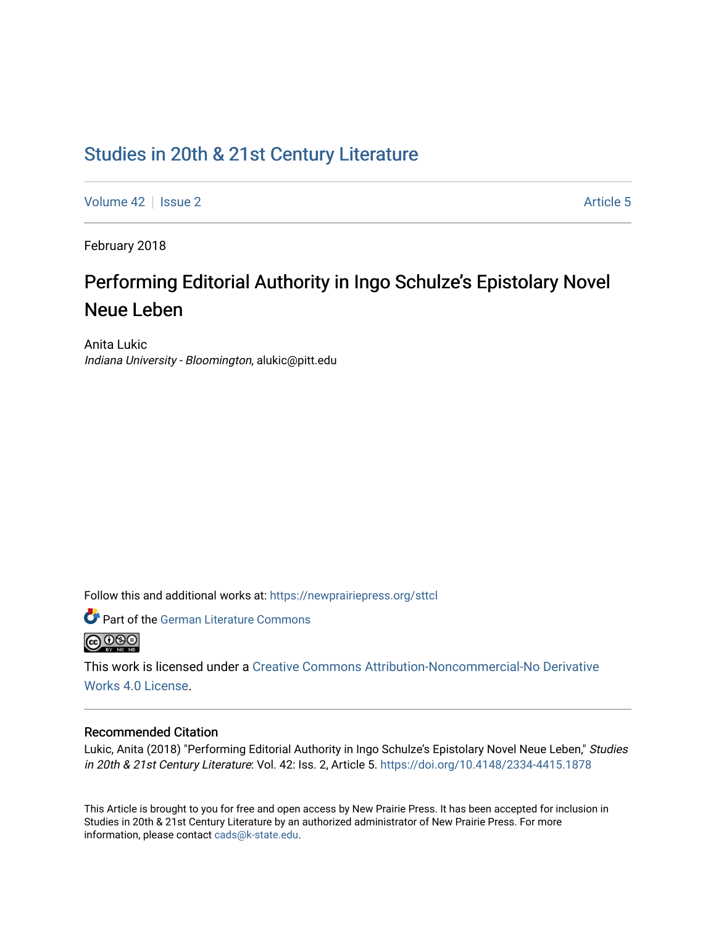# [Studies in 20th & 21st Century Literature](https://newprairiepress.org/sttcl)

[Volume 42](https://newprairiepress.org/sttcl/vol42) | [Issue 2](https://newprairiepress.org/sttcl/vol42/iss2) Article 5

February 2018

# Performing Editorial Authority in Ingo Schulze's Epistolary Novel Neue Leben

Anita Lukic Indiana University - Bloomington, alukic@pitt.edu

Follow this and additional works at: [https://newprairiepress.org/sttcl](https://newprairiepress.org/sttcl?utm_source=newprairiepress.org%2Fsttcl%2Fvol42%2Fiss2%2F5&utm_medium=PDF&utm_campaign=PDFCoverPages) 



This work is licensed under a [Creative Commons Attribution-Noncommercial-No Derivative](https://creativecommons.org/licenses/by-nc-nd/4.0/)  [Works 4.0 License](https://creativecommons.org/licenses/by-nc-nd/4.0/).

#### Recommended Citation

Lukic, Anita (2018) "Performing Editorial Authority in Ingo Schulze's Epistolary Novel Neue Leben," Studies in 20th & 21st Century Literature: Vol. 42: Iss. 2, Article 5.<https://doi.org/10.4148/2334-4415.1878>

This Article is brought to you for free and open access by New Prairie Press. It has been accepted for inclusion in Studies in 20th & 21st Century Literature by an authorized administrator of New Prairie Press. For more information, please contact [cads@k-state.edu](mailto:cads@k-state.edu).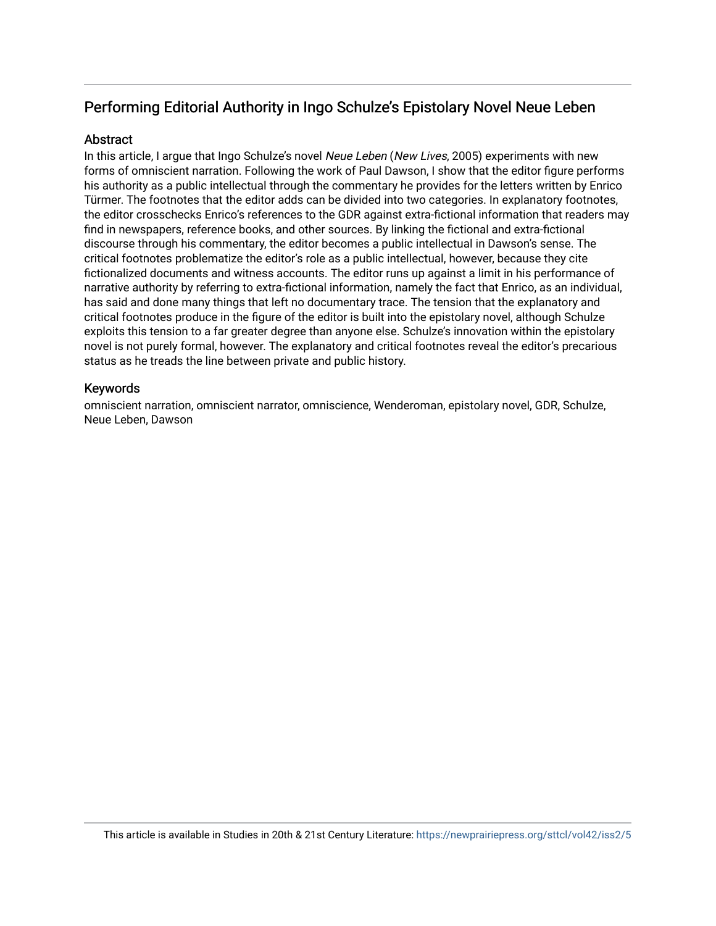# Performing Editorial Authority in Ingo Schulze's Epistolary Novel Neue Leben

# **Abstract**

In this article, I argue that Ingo Schulze's novel Neue Leben (New Lives, 2005) experiments with new forms of omniscient narration. Following the work of Paul Dawson, I show that the editor figure performs his authority as a public intellectual through the commentary he provides for the letters written by Enrico Türmer. The footnotes that the editor adds can be divided into two categories. In explanatory footnotes, the editor crosschecks Enrico's references to the GDR against extra-fictional information that readers may find in newspapers, reference books, and other sources. By linking the fictional and extra-fictional discourse through his commentary, the editor becomes a public intellectual in Dawson's sense. The critical footnotes problematize the editor's role as a public intellectual, however, because they cite fictionalized documents and witness accounts. The editor runs up against a limit in his performance of narrative authority by referring to extra-fictional information, namely the fact that Enrico, as an individual, has said and done many things that left no documentary trace. The tension that the explanatory and critical footnotes produce in the figure of the editor is built into the epistolary novel, although Schulze exploits this tension to a far greater degree than anyone else. Schulze's innovation within the epistolary novel is not purely formal, however. The explanatory and critical footnotes reveal the editor's precarious status as he treads the line between private and public history.

## Keywords

omniscient narration, omniscient narrator, omniscience, Wenderoman, epistolary novel, GDR, Schulze, Neue Leben, Dawson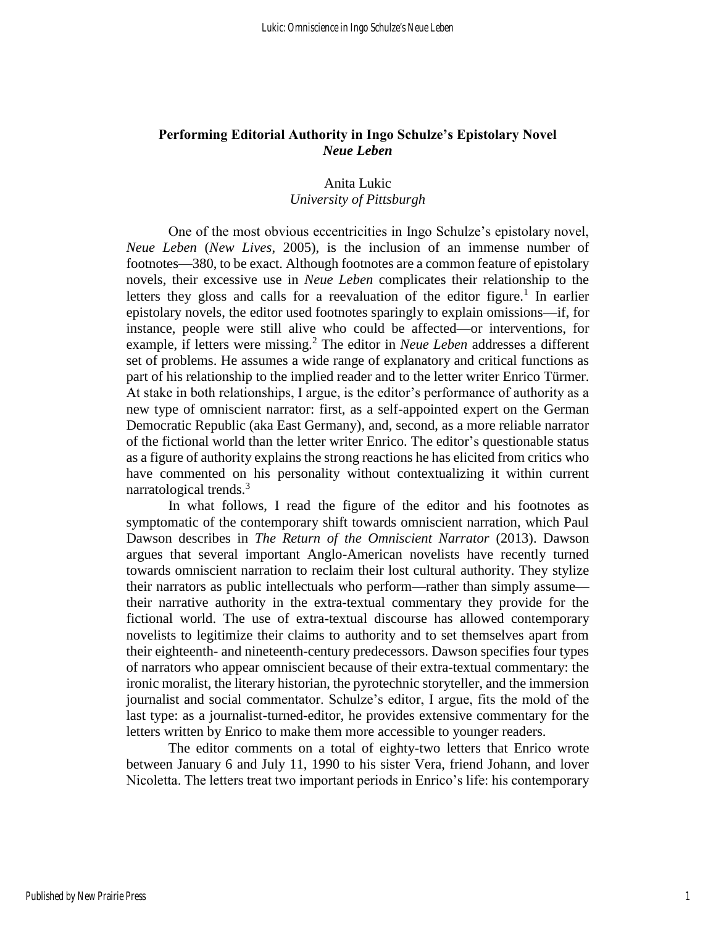# **Performing Editorial Authority in Ingo Schulze's Epistolary Novel**  *Neue Leben*

# Anita Lukic *University of Pittsburgh*

One of the most obvious eccentricities in Ingo Schulze's epistolary novel, *Neue Leben* (*New Lives*, 2005), is the inclusion of an immense number of footnotes—380, to be exact. Although footnotes are a common feature of epistolary novels, their excessive use in *Neue Leben* complicates their relationship to the letters they gloss and calls for a reevaluation of the editor figure.<sup>1</sup> In earlier epistolary novels, the editor used footnotes sparingly to explain omissions—if, for instance, people were still alive who could be affected—or interventions, for example, if letters were missing.<sup>2</sup> The editor in *Neue Leben* addresses a different set of problems. He assumes a wide range of explanatory and critical functions as part of his relationship to the implied reader and to the letter writer Enrico Türmer. At stake in both relationships, I argue, is the editor's performance of authority as a new type of omniscient narrator: first, as a self-appointed expert on the German Democratic Republic (aka East Germany), and, second, as a more reliable narrator of the fictional world than the letter writer Enrico. The editor's questionable status as a figure of authority explains the strong reactions he has elicited from critics who have commented on his personality without contextualizing it within current narratological trends. $3$ 

In what follows, I read the figure of the editor and his footnotes as symptomatic of the contemporary shift towards omniscient narration, which Paul Dawson describes in *The Return of the Omniscient Narrator* (2013). Dawson argues that several important Anglo-American novelists have recently turned towards omniscient narration to reclaim their lost cultural authority. They stylize their narrators as public intellectuals who perform—rather than simply assume their narrative authority in the extra-textual commentary they provide for the fictional world. The use of extra-textual discourse has allowed contemporary novelists to legitimize their claims to authority and to set themselves apart from their eighteenth- and nineteenth-century predecessors. Dawson specifies four types of narrators who appear omniscient because of their extra-textual commentary: the ironic moralist, the literary historian, the pyrotechnic storyteller, and the immersion journalist and social commentator. Schulze's editor, I argue, fits the mold of the last type: as a journalist-turned-editor, he provides extensive commentary for the letters written by Enrico to make them more accessible to younger readers.

The editor comments on a total of eighty-two letters that Enrico wrote between January 6 and July 11, 1990 to his sister Vera, friend Johann, and lover Nicoletta. The letters treat two important periods in Enrico's life: his contemporary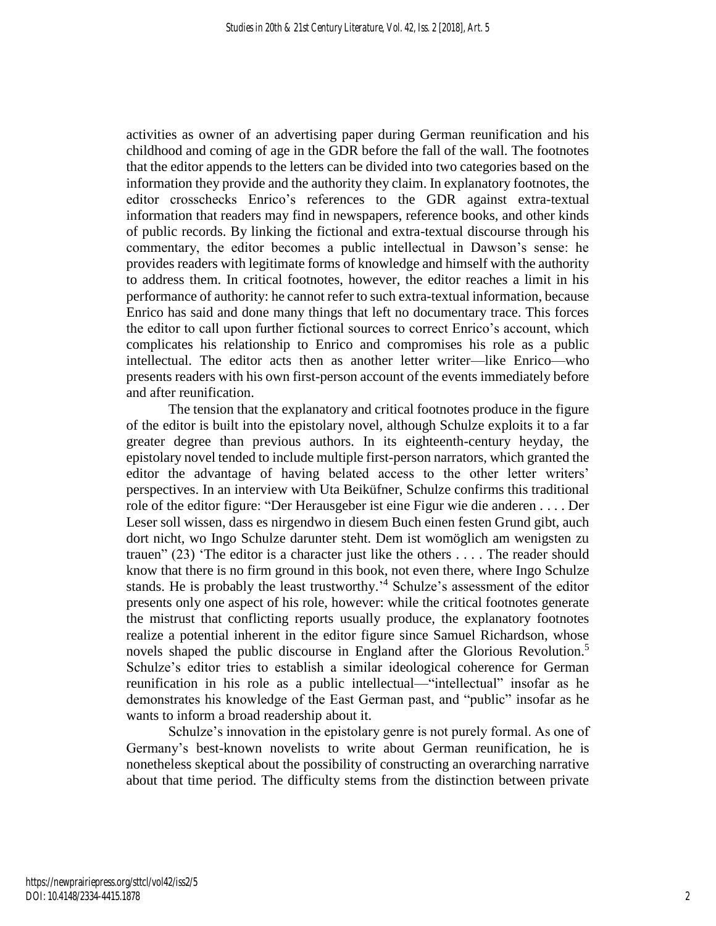activities as owner of an advertising paper during German reunification and his childhood and coming of age in the GDR before the fall of the wall. The footnotes that the editor appends to the letters can be divided into two categories based on the information they provide and the authority they claim. In explanatory footnotes, the editor crosschecks Enrico's references to the GDR against extra-textual information that readers may find in newspapers, reference books, and other kinds of public records. By linking the fictional and extra-textual discourse through his commentary, the editor becomes a public intellectual in Dawson's sense: he provides readers with legitimate forms of knowledge and himself with the authority to address them. In critical footnotes, however, the editor reaches a limit in his performance of authority: he cannot refer to such extra-textual information, because Enrico has said and done many things that left no documentary trace. This forces the editor to call upon further fictional sources to correct Enrico's account, which complicates his relationship to Enrico and compromises his role as a public intellectual. The editor acts then as another letter writer—like Enrico—who presents readers with his own first-person account of the events immediately before and after reunification.

The tension that the explanatory and critical footnotes produce in the figure of the editor is built into the epistolary novel, although Schulze exploits it to a far greater degree than previous authors. In its eighteenth-century heyday, the epistolary novel tended to include multiple first-person narrators, which granted the editor the advantage of having belated access to the other letter writers' perspectives. In an interview with Uta Beiküfner, Schulze confirms this traditional role of the editor figure: "Der Herausgeber ist eine Figur wie die anderen . . . . Der Leser soll wissen, dass es nirgendwo in diesem Buch einen festen Grund gibt, auch dort nicht, wo Ingo Schulze darunter steht. Dem ist womöglich am wenigsten zu trauen" (23) 'The editor is a character just like the others . . . . The reader should know that there is no firm ground in this book, not even there, where Ingo Schulze stands. He is probably the least trustworthy.' <sup>4</sup> Schulze's assessment of the editor presents only one aspect of his role, however: while the critical footnotes generate the mistrust that conflicting reports usually produce, the explanatory footnotes realize a potential inherent in the editor figure since Samuel Richardson, whose novels shaped the public discourse in England after the Glorious Revolution.<sup>5</sup> Schulze's editor tries to establish a similar ideological coherence for German reunification in his role as a public intellectual—"intellectual" insofar as he demonstrates his knowledge of the East German past, and "public" insofar as he wants to inform a broad readership about it.

Schulze's innovation in the epistolary genre is not purely formal. As one of Germany's best-known novelists to write about German reunification, he is nonetheless skeptical about the possibility of constructing an overarching narrative about that time period. The difficulty stems from the distinction between private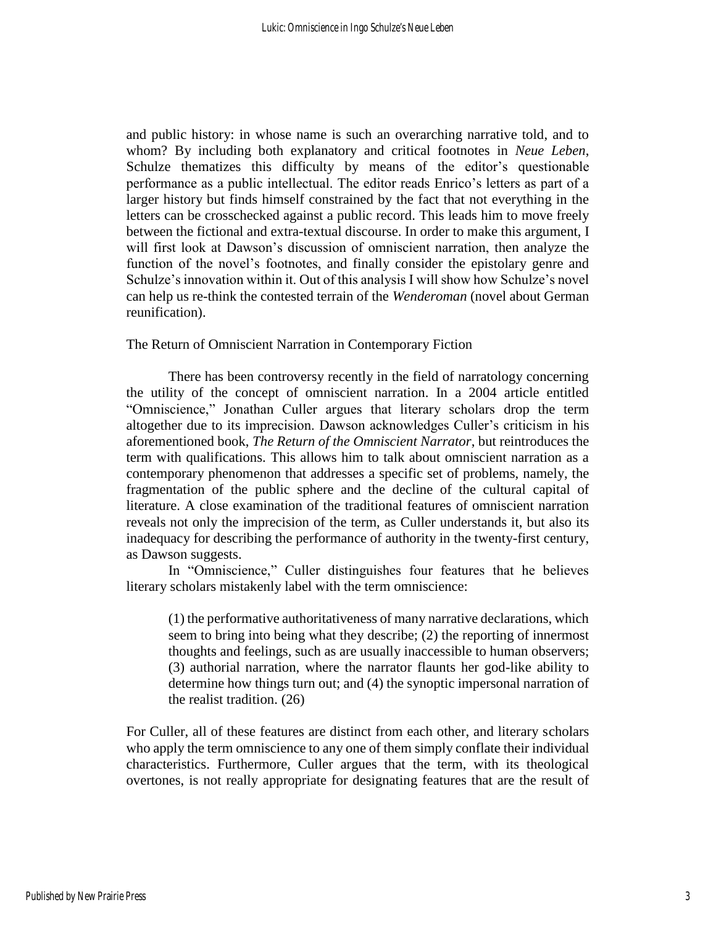and public history: in whose name is such an overarching narrative told, and to whom? By including both explanatory and critical footnotes in *Neue Leben*, Schulze thematizes this difficulty by means of the editor's questionable performance as a public intellectual. The editor reads Enrico's letters as part of a larger history but finds himself constrained by the fact that not everything in the letters can be crosschecked against a public record. This leads him to move freely between the fictional and extra-textual discourse. In order to make this argument, I will first look at Dawson's discussion of omniscient narration, then analyze the function of the novel's footnotes, and finally consider the epistolary genre and Schulze's innovation within it. Out of this analysis I will show how Schulze's novel can help us re-think the contested terrain of the *Wenderoman* (novel about German reunification).

The Return of Omniscient Narration in Contemporary Fiction

There has been controversy recently in the field of narratology concerning the utility of the concept of omniscient narration. In a 2004 article entitled "Omniscience," Jonathan Culler argues that literary scholars drop the term altogether due to its imprecision. Dawson acknowledges Culler's criticism in his aforementioned book, *The Return of the Omniscient Narrator*, but reintroduces the term with qualifications. This allows him to talk about omniscient narration as a contemporary phenomenon that addresses a specific set of problems, namely, the fragmentation of the public sphere and the decline of the cultural capital of literature. A close examination of the traditional features of omniscient narration reveals not only the imprecision of the term, as Culler understands it, but also its inadequacy for describing the performance of authority in the twenty-first century, as Dawson suggests.

In "Omniscience," Culler distinguishes four features that he believes literary scholars mistakenly label with the term omniscience:

(1) the performative authoritativeness of many narrative declarations, which seem to bring into being what they describe; (2) the reporting of innermost thoughts and feelings, such as are usually inaccessible to human observers; (3) authorial narration, where the narrator flaunts her god-like ability to determine how things turn out; and (4) the synoptic impersonal narration of the realist tradition. (26)

For Culler, all of these features are distinct from each other, and literary scholars who apply the term omniscience to any one of them simply conflate their individual characteristics. Furthermore, Culler argues that the term, with its theological overtones, is not really appropriate for designating features that are the result of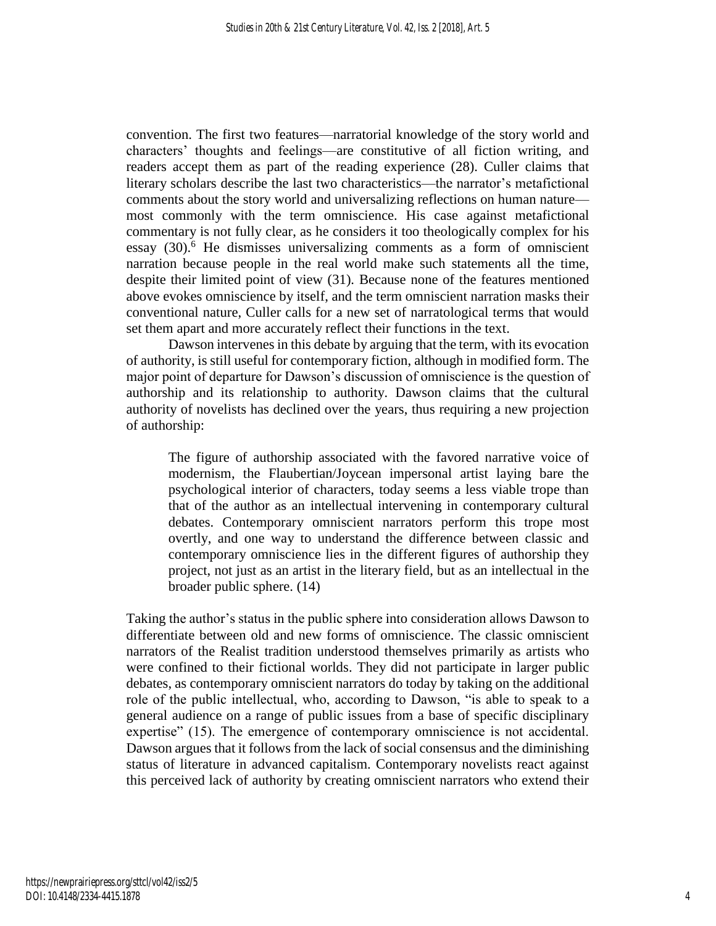convention. The first two features—narratorial knowledge of the story world and characters' thoughts and feelings—are constitutive of all fiction writing, and readers accept them as part of the reading experience (28). Culler claims that literary scholars describe the last two characteristics—the narrator's metafictional comments about the story world and universalizing reflections on human nature most commonly with the term omniscience. His case against metafictional commentary is not fully clear, as he considers it too theologically complex for his essay (30).<sup>6</sup> He dismisses universalizing comments as a form of omniscient narration because people in the real world make such statements all the time, despite their limited point of view (31). Because none of the features mentioned above evokes omniscience by itself, and the term omniscient narration masks their conventional nature, Culler calls for a new set of narratological terms that would set them apart and more accurately reflect their functions in the text.

Dawson intervenes in this debate by arguing that the term, with its evocation of authority, is still useful for contemporary fiction, although in modified form. The major point of departure for Dawson's discussion of omniscience is the question of authorship and its relationship to authority. Dawson claims that the cultural authority of novelists has declined over the years, thus requiring a new projection of authorship:

The figure of authorship associated with the favored narrative voice of modernism, the Flaubertian/Joycean impersonal artist laying bare the psychological interior of characters, today seems a less viable trope than that of the author as an intellectual intervening in contemporary cultural debates. Contemporary omniscient narrators perform this trope most overtly, and one way to understand the difference between classic and contemporary omniscience lies in the different figures of authorship they project, not just as an artist in the literary field, but as an intellectual in the broader public sphere. (14)

Taking the author's status in the public sphere into consideration allows Dawson to differentiate between old and new forms of omniscience. The classic omniscient narrators of the Realist tradition understood themselves primarily as artists who were confined to their fictional worlds. They did not participate in larger public debates, as contemporary omniscient narrators do today by taking on the additional role of the public intellectual, who, according to Dawson, "is able to speak to a general audience on a range of public issues from a base of specific disciplinary expertise" (15). The emergence of contemporary omniscience is not accidental. Dawson argues that it follows from the lack of social consensus and the diminishing status of literature in advanced capitalism. Contemporary novelists react against this perceived lack of authority by creating omniscient narrators who extend their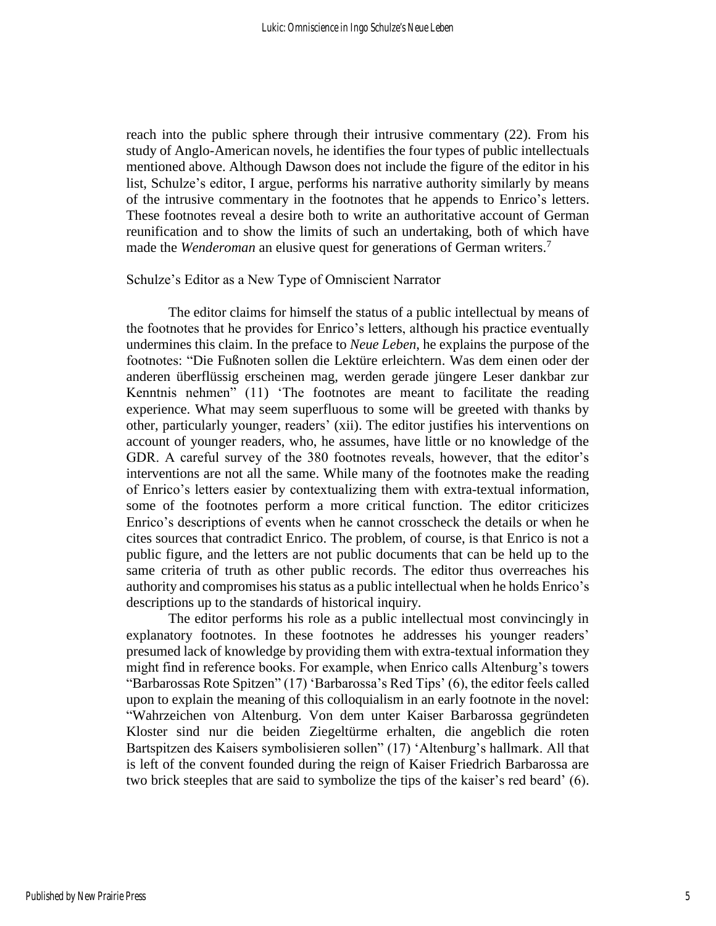reach into the public sphere through their intrusive commentary (22). From his study of Anglo-American novels, he identifies the four types of public intellectuals mentioned above. Although Dawson does not include the figure of the editor in his list, Schulze's editor, I argue, performs his narrative authority similarly by means of the intrusive commentary in the footnotes that he appends to Enrico's letters. These footnotes reveal a desire both to write an authoritative account of German reunification and to show the limits of such an undertaking, both of which have made the *Wenderoman* an elusive quest for generations of German writers.<sup>7</sup>

## Schulze's Editor as a New Type of Omniscient Narrator

The editor claims for himself the status of a public intellectual by means of the footnotes that he provides for Enrico's letters, although his practice eventually undermines this claim. In the preface to *Neue Leben*, he explains the purpose of the footnotes: "Die Fußnoten sollen die Lektüre erleichtern. Was dem einen oder der anderen überflüssig erscheinen mag, werden gerade jüngere Leser dankbar zur Kenntnis nehmen" (11) 'The footnotes are meant to facilitate the reading experience. What may seem superfluous to some will be greeted with thanks by other, particularly younger, readers' (xii). The editor justifies his interventions on account of younger readers, who, he assumes, have little or no knowledge of the GDR. A careful survey of the 380 footnotes reveals, however, that the editor's interventions are not all the same. While many of the footnotes make the reading of Enrico's letters easier by contextualizing them with extra-textual information, some of the footnotes perform a more critical function. The editor criticizes Enrico's descriptions of events when he cannot crosscheck the details or when he cites sources that contradict Enrico. The problem, of course, is that Enrico is not a public figure, and the letters are not public documents that can be held up to the same criteria of truth as other public records. The editor thus overreaches his authority and compromises his status as a public intellectual when he holds Enrico's descriptions up to the standards of historical inquiry.

The editor performs his role as a public intellectual most convincingly in explanatory footnotes. In these footnotes he addresses his younger readers' presumed lack of knowledge by providing them with extra-textual information they might find in reference books. For example, when Enrico calls Altenburg's towers "Barbarossas Rote Spitzen" (17) 'Barbarossa's Red Tips' (6), the editor feels called upon to explain the meaning of this colloquialism in an early footnote in the novel: "Wahrzeichen von Altenburg. Von dem unter Kaiser Barbarossa gegründeten Kloster sind nur die beiden Ziegeltürme erhalten, die angeblich die roten Bartspitzen des Kaisers symbolisieren sollen" (17) 'Altenburg's hallmark. All that is left of the convent founded during the reign of Kaiser Friedrich Barbarossa are two brick steeples that are said to symbolize the tips of the kaiser's red beard' (6).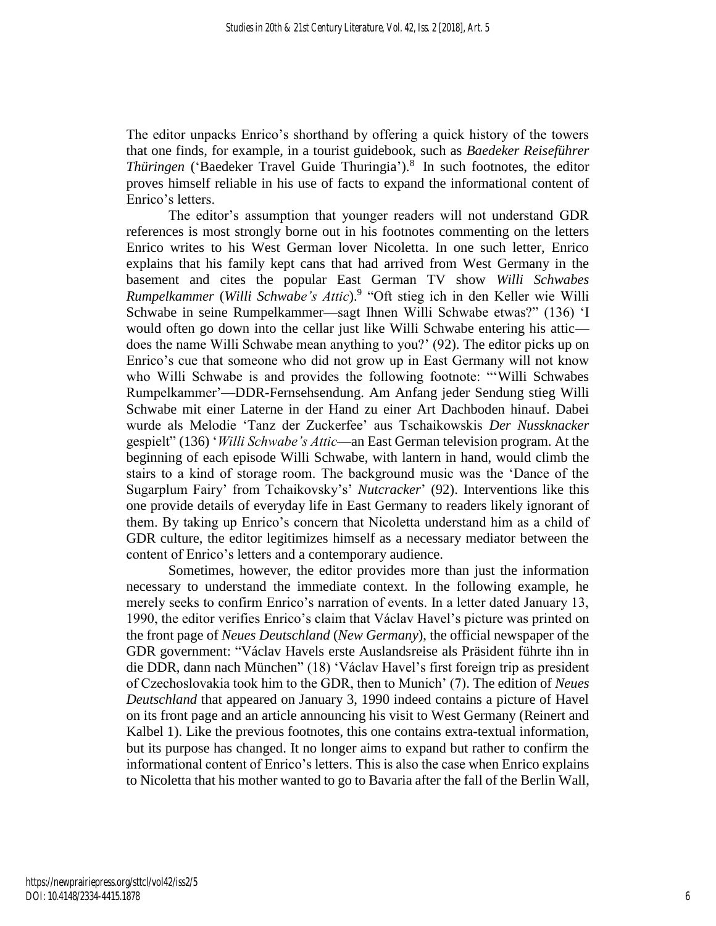The editor unpacks Enrico's shorthand by offering a quick history of the towers that one finds, for example, in a tourist guidebook, such as *Baedeker Reiseführer*  Thüringen ('Baedeker Travel Guide Thuringia').<sup>8</sup> In such footnotes, the editor proves himself reliable in his use of facts to expand the informational content of Enrico's letters.

The editor's assumption that younger readers will not understand GDR references is most strongly borne out in his footnotes commenting on the letters Enrico writes to his West German lover Nicoletta. In one such letter, Enrico explains that his family kept cans that had arrived from West Germany in the basement and cites the popular East German TV show *Willi Schwabes Rumpelkammer* (*Willi Schwabe's Attic*).<sup>9</sup> "Oft stieg ich in den Keller wie Willi Schwabe in seine Rumpelkammer—sagt Ihnen Willi Schwabe etwas?" (136) 'I would often go down into the cellar just like Willi Schwabe entering his attic does the name Willi Schwabe mean anything to you?' (92). The editor picks up on Enrico's cue that someone who did not grow up in East Germany will not know who Willi Schwabe is and provides the following footnote: "'Willi Schwabes Rumpelkammer'—DDR-Fernsehsendung. Am Anfang jeder Sendung stieg Willi Schwabe mit einer Laterne in der Hand zu einer Art Dachboden hinauf. Dabei wurde als Melodie 'Tanz der Zuckerfee' aus Tschaikowskis *Der Nussknacker* gespielt" (136) '*Willi Schwabe's Attic*—an East German television program. At the beginning of each episode Willi Schwabe, with lantern in hand, would climb the stairs to a kind of storage room. The background music was the 'Dance of the Sugarplum Fairy' from Tchaikovsky's' *Nutcracker*' (92). Interventions like this one provide details of everyday life in East Germany to readers likely ignorant of them. By taking up Enrico's concern that Nicoletta understand him as a child of GDR culture, the editor legitimizes himself as a necessary mediator between the content of Enrico's letters and a contemporary audience.

Sometimes, however, the editor provides more than just the information necessary to understand the immediate context. In the following example, he merely seeks to confirm Enrico's narration of events. In a letter dated January 13, 1990, the editor verifies Enrico's claim that Václav Havel's picture was printed on the front page of *Neues Deutschland* (*New Germany*), the official newspaper of the GDR government: "Václav Havels erste Auslandsreise als Präsident führte ihn in die DDR, dann nach München" (18) 'Václav Havel's first foreign trip as president of Czechoslovakia took him to the GDR, then to Munich' (7). The edition of *Neues Deutschland* that appeared on January 3, 1990 indeed contains a picture of Havel on its front page and an article announcing his visit to West Germany (Reinert and Kalbel 1). Like the previous footnotes, this one contains extra-textual information, but its purpose has changed. It no longer aims to expand but rather to confirm the informational content of Enrico's letters. This is also the case when Enrico explains to Nicoletta that his mother wanted to go to Bavaria after the fall of the Berlin Wall,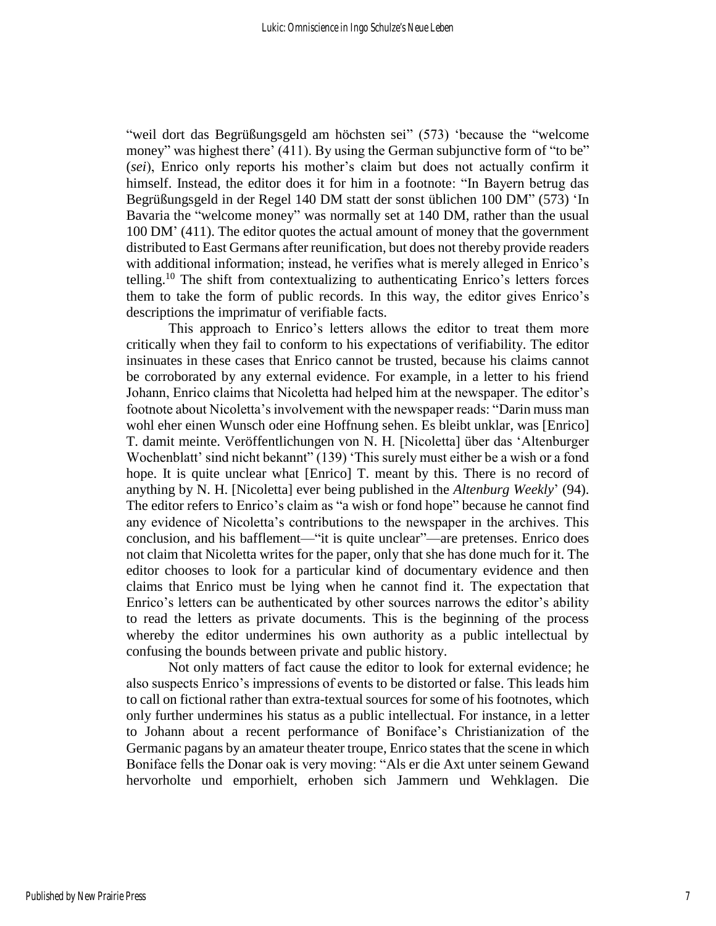"weil dort das Begrüßungsgeld am höchsten sei" (573) 'because the "welcome money" was highest there' (411). By using the German subjunctive form of "to be" (*sei*), Enrico only reports his mother's claim but does not actually confirm it himself. Instead, the editor does it for him in a footnote: "In Bayern betrug das Begrüßungsgeld in der Regel 140 DM statt der sonst üblichen 100 DM" (573) 'In Bavaria the "welcome money" was normally set at 140 DM, rather than the usual 100 DM' (411). The editor quotes the actual amount of money that the government distributed to East Germans after reunification, but does not thereby provide readers with additional information; instead, he verifies what is merely alleged in Enrico's telling.<sup>10</sup> The shift from contextualizing to authenticating Enrico's letters forces them to take the form of public records. In this way, the editor gives Enrico's descriptions the imprimatur of verifiable facts.

This approach to Enrico's letters allows the editor to treat them more critically when they fail to conform to his expectations of verifiability. The editor insinuates in these cases that Enrico cannot be trusted, because his claims cannot be corroborated by any external evidence. For example, in a letter to his friend Johann, Enrico claims that Nicoletta had helped him at the newspaper. The editor's footnote about Nicoletta's involvement with the newspaper reads: "Darin muss man wohl eher einen Wunsch oder eine Hoffnung sehen. Es bleibt unklar, was [Enrico] T. damit meinte. Veröffentlichungen von N. H. [Nicoletta] über das 'Altenburger Wochenblatt' sind nicht bekannt" (139) 'This surely must either be a wish or a fond hope. It is quite unclear what [Enrico] T. meant by this. There is no record of anything by N. H. [Nicoletta] ever being published in the *Altenburg Weekly*' (94). The editor refers to Enrico's claim as "a wish or fond hope" because he cannot find any evidence of Nicoletta's contributions to the newspaper in the archives. This conclusion, and his bafflement—"it is quite unclear"—are pretenses. Enrico does not claim that Nicoletta writes for the paper, only that she has done much for it. The editor chooses to look for a particular kind of documentary evidence and then claims that Enrico must be lying when he cannot find it. The expectation that Enrico's letters can be authenticated by other sources narrows the editor's ability to read the letters as private documents. This is the beginning of the process whereby the editor undermines his own authority as a public intellectual by confusing the bounds between private and public history.

Not only matters of fact cause the editor to look for external evidence; he also suspects Enrico's impressions of events to be distorted or false. This leads him to call on fictional rather than extra-textual sources for some of his footnotes, which only further undermines his status as a public intellectual. For instance, in a letter to Johann about a recent performance of Boniface's Christianization of the Germanic pagans by an amateur theater troupe, Enrico states that the scene in which Boniface fells the Donar oak is very moving: "Als er die Axt unter seinem Gewand hervorholte und emporhielt, erhoben sich Jammern und Wehklagen. Die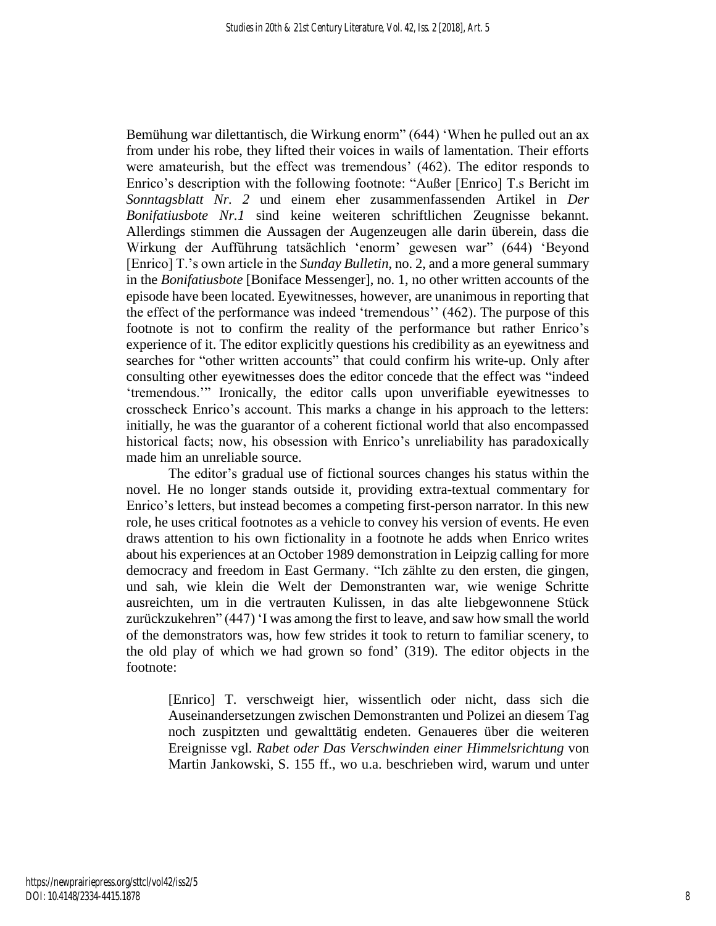Bemühung war dilettantisch, die Wirkung enorm" (644) 'When he pulled out an ax from under his robe, they lifted their voices in wails of lamentation. Their efforts were amateurish, but the effect was tremendous' (462). The editor responds to Enrico's description with the following footnote: "Außer [Enrico] T.s Bericht im *Sonntagsblatt Nr. 2* und einem eher zusammenfassenden Artikel in *Der Bonifatiusbote Nr.1* sind keine weiteren schriftlichen Zeugnisse bekannt. Allerdings stimmen die Aussagen der Augenzeugen alle darin überein, dass die Wirkung der Aufführung tatsächlich 'enorm' gewesen war" (644) 'Beyond [Enrico] T.'s own article in the *Sunday Bulletin*, no. 2, and a more general summary in the *Bonifatiusbote* [Boniface Messenger], no. 1, no other written accounts of the episode have been located. Eyewitnesses, however, are unanimous in reporting that the effect of the performance was indeed 'tremendous'' (462). The purpose of this footnote is not to confirm the reality of the performance but rather Enrico's experience of it. The editor explicitly questions his credibility as an eyewitness and searches for "other written accounts" that could confirm his write-up. Only after consulting other eyewitnesses does the editor concede that the effect was "indeed 'tremendous.'" Ironically, the editor calls upon unverifiable eyewitnesses to crosscheck Enrico's account. This marks a change in his approach to the letters: initially, he was the guarantor of a coherent fictional world that also encompassed historical facts; now, his obsession with Enrico's unreliability has paradoxically made him an unreliable source.

The editor's gradual use of fictional sources changes his status within the novel. He no longer stands outside it, providing extra-textual commentary for Enrico's letters, but instead becomes a competing first-person narrator. In this new role, he uses critical footnotes as a vehicle to convey his version of events. He even draws attention to his own fictionality in a footnote he adds when Enrico writes about his experiences at an October 1989 demonstration in Leipzig calling for more democracy and freedom in East Germany. "Ich zählte zu den ersten, die gingen, und sah, wie klein die Welt der Demonstranten war, wie wenige Schritte ausreichten, um in die vertrauten Kulissen, in das alte liebgewonnene Stück zurückzukehren" (447) 'I was among the first to leave, and saw how small the world of the demonstrators was, how few strides it took to return to familiar scenery, to the old play of which we had grown so fond' (319). The editor objects in the footnote:

[Enrico] T. verschweigt hier, wissentlich oder nicht, dass sich die Auseinandersetzungen zwischen Demonstranten und Polizei an diesem Tag noch zuspitzten und gewalttätig endeten. Genaueres über die weiteren Ereignisse vgl. *Rabet oder Das Verschwinden einer Himmelsrichtung* von Martin Jankowski, S. 155 ff., wo u.a. beschrieben wird, warum und unter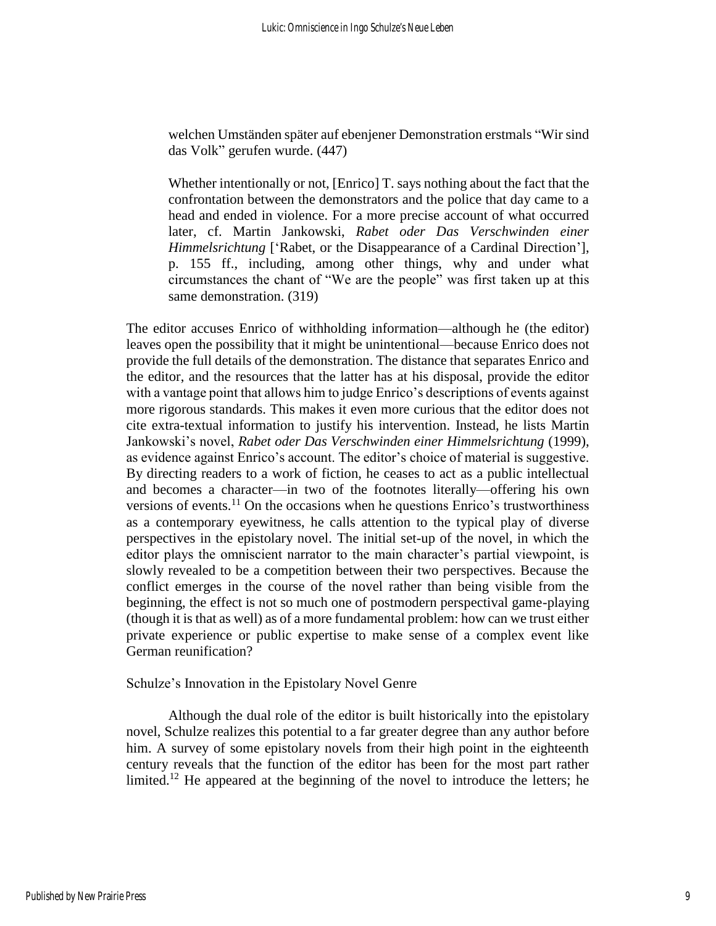welchen Umständen später auf ebenjener Demonstration erstmals "Wir sind das Volk" gerufen wurde. (447)

Whether intentionally or not, [Enrico] T. says nothing about the fact that the confrontation between the demonstrators and the police that day came to a head and ended in violence. For a more precise account of what occurred later, cf. Martin Jankowski, *Rabet oder Das Verschwinden einer Himmelsrichtung* ['Rabet, or the Disappearance of a Cardinal Direction'], p. 155 ff., including, among other things, why and under what circumstances the chant of "We are the people" was first taken up at this same demonstration. (319)

The editor accuses Enrico of withholding information—although he (the editor) leaves open the possibility that it might be unintentional—because Enrico does not provide the full details of the demonstration. The distance that separates Enrico and the editor, and the resources that the latter has at his disposal, provide the editor with a vantage point that allows him to judge Enrico's descriptions of events against more rigorous standards. This makes it even more curious that the editor does not cite extra-textual information to justify his intervention. Instead, he lists Martin Jankowski's novel, *Rabet oder Das Verschwinden einer Himmelsrichtung* (1999), as evidence against Enrico's account. The editor's choice of material is suggestive. By directing readers to a work of fiction, he ceases to act as a public intellectual and becomes a character—in two of the footnotes literally—offering his own versions of events.<sup>11</sup> On the occasions when he questions Enrico's trustworthiness as a contemporary eyewitness, he calls attention to the typical play of diverse perspectives in the epistolary novel. The initial set-up of the novel, in which the editor plays the omniscient narrator to the main character's partial viewpoint, is slowly revealed to be a competition between their two perspectives. Because the conflict emerges in the course of the novel rather than being visible from the beginning, the effect is not so much one of postmodern perspectival game-playing (though it is that as well) as of a more fundamental problem: how can we trust either private experience or public expertise to make sense of a complex event like German reunification?

### Schulze's Innovation in the Epistolary Novel Genre

Although the dual role of the editor is built historically into the epistolary novel, Schulze realizes this potential to a far greater degree than any author before him. A survey of some epistolary novels from their high point in the eighteenth century reveals that the function of the editor has been for the most part rather limited.<sup>12</sup> He appeared at the beginning of the novel to introduce the letters; he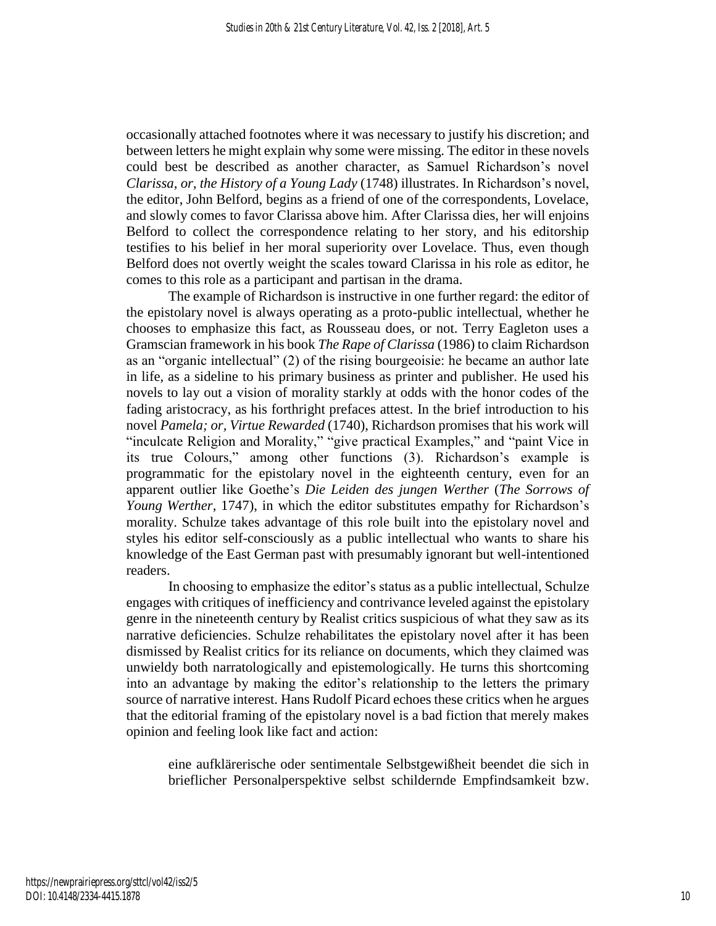occasionally attached footnotes where it was necessary to justify his discretion; and between letters he might explain why some were missing. The editor in these novels could best be described as another character, as Samuel Richardson's novel *Clarissa, or, the History of a Young Lady* (1748) illustrates. In Richardson's novel, the editor, John Belford, begins as a friend of one of the correspondents, Lovelace, and slowly comes to favor Clarissa above him. After Clarissa dies, her will enjoins Belford to collect the correspondence relating to her story, and his editorship testifies to his belief in her moral superiority over Lovelace. Thus, even though Belford does not overtly weight the scales toward Clarissa in his role as editor, he comes to this role as a participant and partisan in the drama.

The example of Richardson is instructive in one further regard: the editor of the epistolary novel is always operating as a proto-public intellectual, whether he chooses to emphasize this fact, as Rousseau does, or not. Terry Eagleton uses a Gramscian framework in his book *The Rape of Clarissa* (1986) to claim Richardson as an "organic intellectual" (2) of the rising bourgeoisie: he became an author late in life, as a sideline to his primary business as printer and publisher. He used his novels to lay out a vision of morality starkly at odds with the honor codes of the fading aristocracy, as his forthright prefaces attest. In the brief introduction to his novel *Pamela; or, Virtue Rewarded* (1740), Richardson promises that his work will "inculcate Religion and Morality," "give practical Examples," and "paint Vice in its true Colours," among other functions (3). Richardson's example is programmatic for the epistolary novel in the eighteenth century, even for an apparent outlier like Goethe's *Die Leiden des jungen Werther* (*The Sorrows of Young Werther*, 1747), in which the editor substitutes empathy for Richardson's morality. Schulze takes advantage of this role built into the epistolary novel and styles his editor self-consciously as a public intellectual who wants to share his knowledge of the East German past with presumably ignorant but well-intentioned readers.

In choosing to emphasize the editor's status as a public intellectual, Schulze engages with critiques of inefficiency and contrivance leveled against the epistolary genre in the nineteenth century by Realist critics suspicious of what they saw as its narrative deficiencies. Schulze rehabilitates the epistolary novel after it has been dismissed by Realist critics for its reliance on documents, which they claimed was unwieldy both narratologically and epistemologically. He turns this shortcoming into an advantage by making the editor's relationship to the letters the primary source of narrative interest. Hans Rudolf Picard echoes these critics when he argues that the editorial framing of the epistolary novel is a bad fiction that merely makes opinion and feeling look like fact and action:

eine aufklärerische oder sentimentale Selbstgewißheit beendet die sich in brieflicher Personalperspektive selbst schildernde Empfindsamkeit bzw.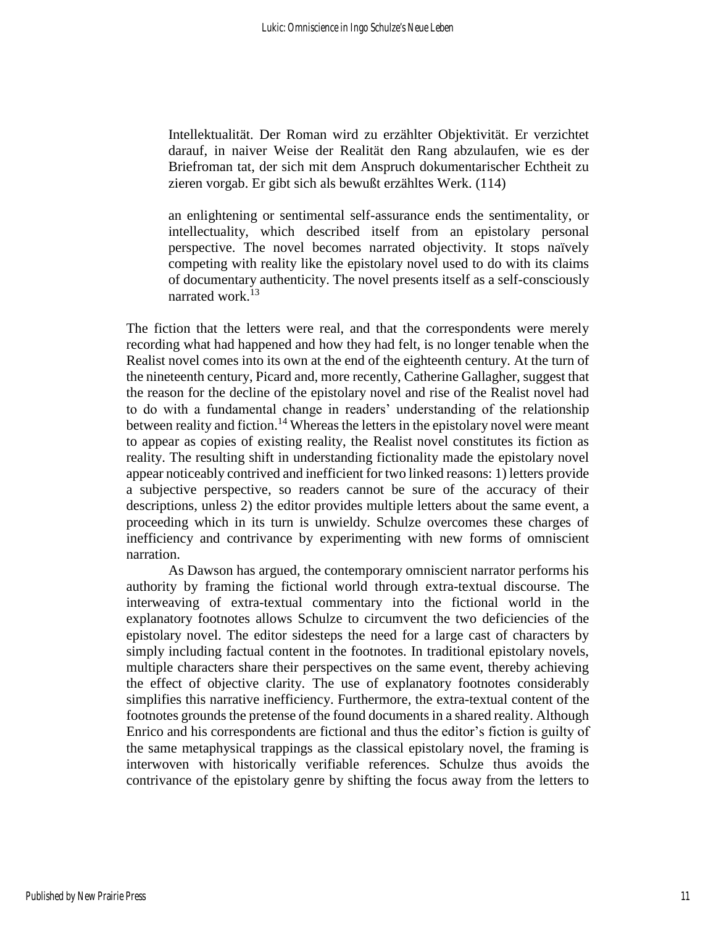Intellektualität. Der Roman wird zu erzählter Objektivität. Er verzichtet darauf, in naiver Weise der Realität den Rang abzulaufen, wie es der Briefroman tat, der sich mit dem Anspruch dokumentarischer Echtheit zu zieren vorgab. Er gibt sich als bewußt erzähltes Werk. (114)

an enlightening or sentimental self-assurance ends the sentimentality, or intellectuality, which described itself from an epistolary personal perspective. The novel becomes narrated objectivity. It stops naïvely competing with reality like the epistolary novel used to do with its claims of documentary authenticity. The novel presents itself as a self-consciously narrated work.<sup>13</sup>

The fiction that the letters were real, and that the correspondents were merely recording what had happened and how they had felt, is no longer tenable when the Realist novel comes into its own at the end of the eighteenth century. At the turn of the nineteenth century, Picard and, more recently, Catherine Gallagher, suggest that the reason for the decline of the epistolary novel and rise of the Realist novel had to do with a fundamental change in readers' understanding of the relationship between reality and fiction.<sup>14</sup> Whereas the letters in the epistolary novel were meant to appear as copies of existing reality, the Realist novel constitutes its fiction as reality. The resulting shift in understanding fictionality made the epistolary novel appear noticeably contrived and inefficient for two linked reasons: 1) letters provide a subjective perspective, so readers cannot be sure of the accuracy of their descriptions, unless 2) the editor provides multiple letters about the same event, a proceeding which in its turn is unwieldy. Schulze overcomes these charges of inefficiency and contrivance by experimenting with new forms of omniscient narration.

As Dawson has argued, the contemporary omniscient narrator performs his authority by framing the fictional world through extra-textual discourse. The interweaving of extra-textual commentary into the fictional world in the explanatory footnotes allows Schulze to circumvent the two deficiencies of the epistolary novel. The editor sidesteps the need for a large cast of characters by simply including factual content in the footnotes. In traditional epistolary novels, multiple characters share their perspectives on the same event, thereby achieving the effect of objective clarity. The use of explanatory footnotes considerably simplifies this narrative inefficiency. Furthermore, the extra-textual content of the footnotes grounds the pretense of the found documents in a shared reality. Although Enrico and his correspondents are fictional and thus the editor's fiction is guilty of the same metaphysical trappings as the classical epistolary novel, the framing is interwoven with historically verifiable references. Schulze thus avoids the contrivance of the epistolary genre by shifting the focus away from the letters to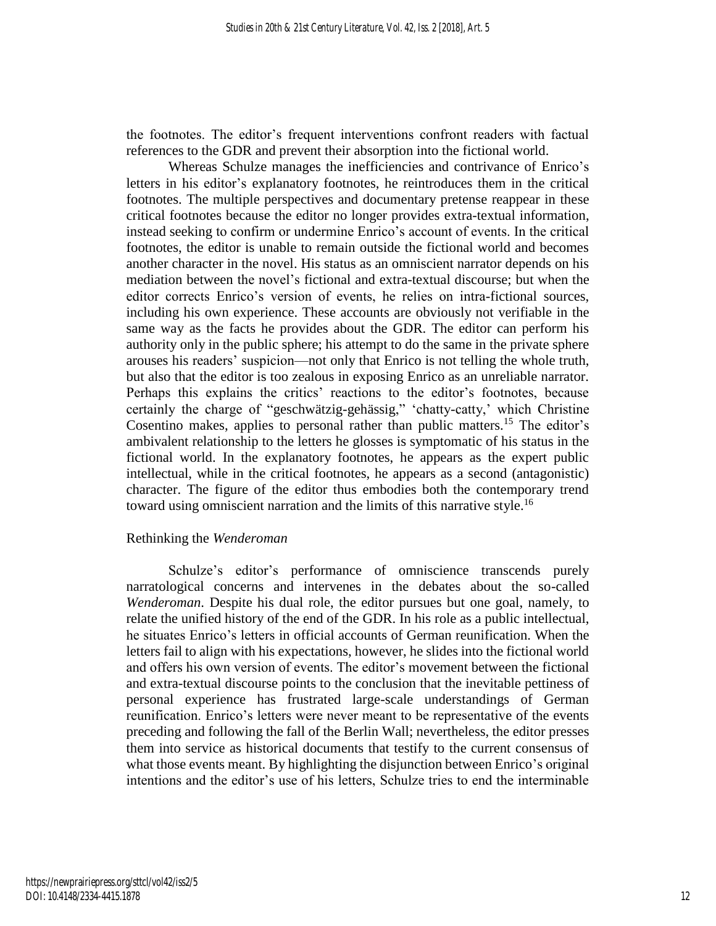the footnotes. The editor's frequent interventions confront readers with factual references to the GDR and prevent their absorption into the fictional world.

Whereas Schulze manages the inefficiencies and contrivance of Enrico's letters in his editor's explanatory footnotes, he reintroduces them in the critical footnotes. The multiple perspectives and documentary pretense reappear in these critical footnotes because the editor no longer provides extra-textual information, instead seeking to confirm or undermine Enrico's account of events. In the critical footnotes, the editor is unable to remain outside the fictional world and becomes another character in the novel. His status as an omniscient narrator depends on his mediation between the novel's fictional and extra-textual discourse; but when the editor corrects Enrico's version of events, he relies on intra-fictional sources, including his own experience. These accounts are obviously not verifiable in the same way as the facts he provides about the GDR. The editor can perform his authority only in the public sphere; his attempt to do the same in the private sphere arouses his readers' suspicion—not only that Enrico is not telling the whole truth, but also that the editor is too zealous in exposing Enrico as an unreliable narrator. Perhaps this explains the critics' reactions to the editor's footnotes, because certainly the charge of "geschwätzig-gehässig," 'chatty-catty,' which Christine Cosentino makes, applies to personal rather than public matters.<sup>15</sup> The editor's ambivalent relationship to the letters he glosses is symptomatic of his status in the fictional world. In the explanatory footnotes, he appears as the expert public intellectual, while in the critical footnotes, he appears as a second (antagonistic) character. The figure of the editor thus embodies both the contemporary trend toward using omniscient narration and the limits of this narrative style.<sup>16</sup>

### Rethinking the *Wenderoman*

Schulze's editor's performance of omniscience transcends purely narratological concerns and intervenes in the debates about the so-called *Wenderoman*. Despite his dual role, the editor pursues but one goal, namely, to relate the unified history of the end of the GDR. In his role as a public intellectual, he situates Enrico's letters in official accounts of German reunification. When the letters fail to align with his expectations, however, he slides into the fictional world and offers his own version of events. The editor's movement between the fictional and extra-textual discourse points to the conclusion that the inevitable pettiness of personal experience has frustrated large-scale understandings of German reunification. Enrico's letters were never meant to be representative of the events preceding and following the fall of the Berlin Wall; nevertheless, the editor presses them into service as historical documents that testify to the current consensus of what those events meant. By highlighting the disjunction between Enrico's original intentions and the editor's use of his letters, Schulze tries to end the interminable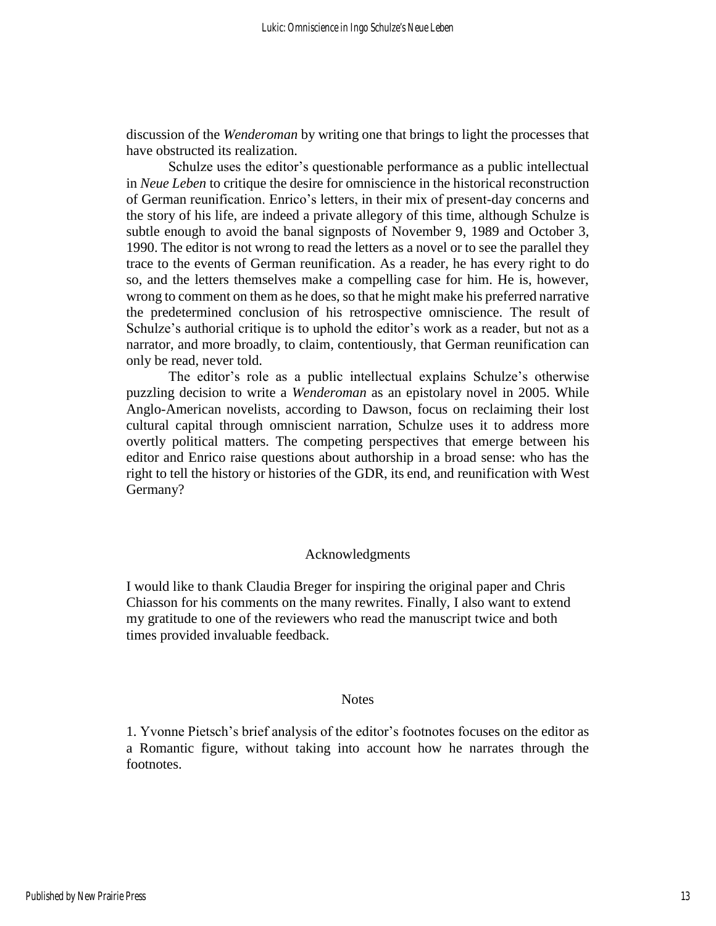discussion of the *Wenderoman* by writing one that brings to light the processes that have obstructed its realization.

Schulze uses the editor's questionable performance as a public intellectual in *Neue Leben* to critique the desire for omniscience in the historical reconstruction of German reunification. Enrico's letters, in their mix of present-day concerns and the story of his life, are indeed a private allegory of this time, although Schulze is subtle enough to avoid the banal signposts of November 9, 1989 and October 3, 1990. The editor is not wrong to read the letters as a novel or to see the parallel they trace to the events of German reunification. As a reader, he has every right to do so, and the letters themselves make a compelling case for him. He is, however, wrong to comment on them as he does, so that he might make his preferred narrative the predetermined conclusion of his retrospective omniscience. The result of Schulze's authorial critique is to uphold the editor's work as a reader, but not as a narrator, and more broadly, to claim, contentiously, that German reunification can only be read, never told.

The editor's role as a public intellectual explains Schulze's otherwise puzzling decision to write a *Wenderoman* as an epistolary novel in 2005. While Anglo-American novelists, according to Dawson, focus on reclaiming their lost cultural capital through omniscient narration, Schulze uses it to address more overtly political matters. The competing perspectives that emerge between his editor and Enrico raise questions about authorship in a broad sense: who has the right to tell the history or histories of the GDR, its end, and reunification with West Germany?

### Acknowledgments

I would like to thank Claudia Breger for inspiring the original paper and Chris Chiasson for his comments on the many rewrites. Finally, I also want to extend my gratitude to one of the reviewers who read the manuscript twice and both times provided invaluable feedback.

### **Notes**

1. Yvonne Pietsch's brief analysis of the editor's footnotes focuses on the editor as a Romantic figure, without taking into account how he narrates through the footnotes.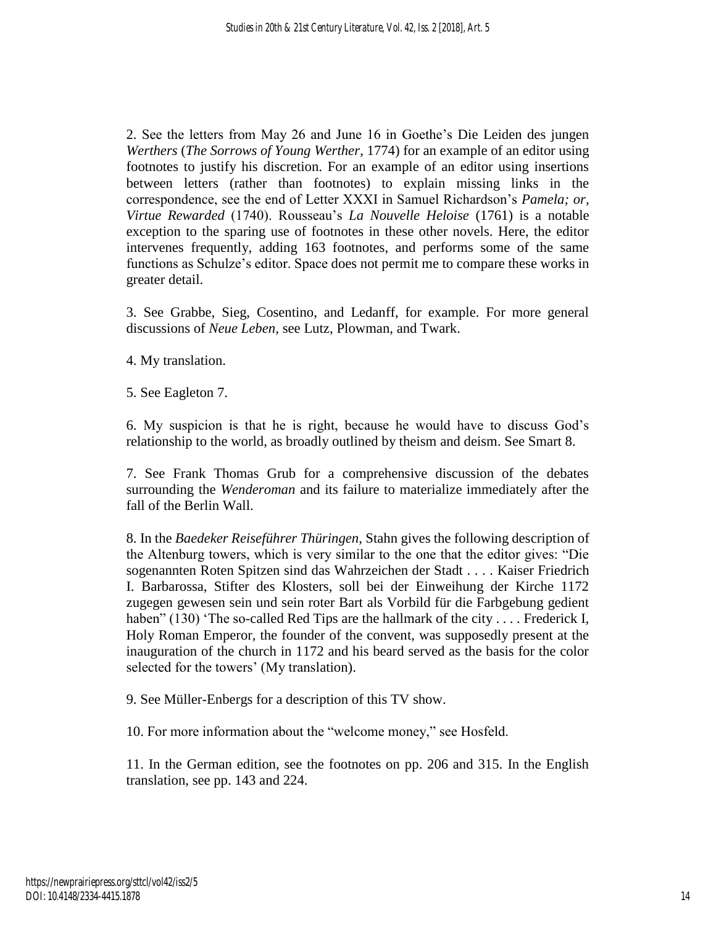2. See the letters from May 26 and June 16 in Goethe's Die Leiden des jungen *Werthers* (*The Sorrows of Young Werther*, 1774) for an example of an editor using footnotes to justify his discretion. For an example of an editor using insertions between letters (rather than footnotes) to explain missing links in the correspondence, see the end of Letter XXXI in Samuel Richardson's *Pamela; or, Virtue Rewarded* (1740). Rousseau's *La Nouvelle Heloise* (1761) is a notable exception to the sparing use of footnotes in these other novels. Here, the editor intervenes frequently, adding 163 footnotes, and performs some of the same functions as Schulze's editor. Space does not permit me to compare these works in greater detail.

3. See Grabbe, Sieg, Cosentino, and Ledanff, for example. For more general discussions of *Neue Leben*, see Lutz, Plowman, and Twark.

4. My translation.

5. See Eagleton 7.

6. My suspicion is that he is right, because he would have to discuss God's relationship to the world, as broadly outlined by theism and deism. See Smart 8.

7. See Frank Thomas Grub for a comprehensive discussion of the debates surrounding the *Wenderoman* and its failure to materialize immediately after the fall of the Berlin Wall.

8. In the *Baedeker Reiseführer Thüringen*, Stahn gives the following description of the Altenburg towers, which is very similar to the one that the editor gives: "Die sogenannten Roten Spitzen sind das Wahrzeichen der Stadt . . . . Kaiser Friedrich I. Barbarossa, Stifter des Klosters, soll bei der Einweihung der Kirche 1172 zugegen gewesen sein und sein roter Bart als Vorbild für die Farbgebung gedient haben" (130) 'The so-called Red Tips are the hallmark of the city . . . . Frederick I, Holy Roman Emperor, the founder of the convent, was supposedly present at the inauguration of the church in 1172 and his beard served as the basis for the color selected for the towers' (My translation).

9. See Müller-Enbergs for a description of this TV show.

10. For more information about the "welcome money," see Hosfeld.

11. In the German edition, see the footnotes on pp. 206 and 315. In the English translation, see pp. 143 and 224.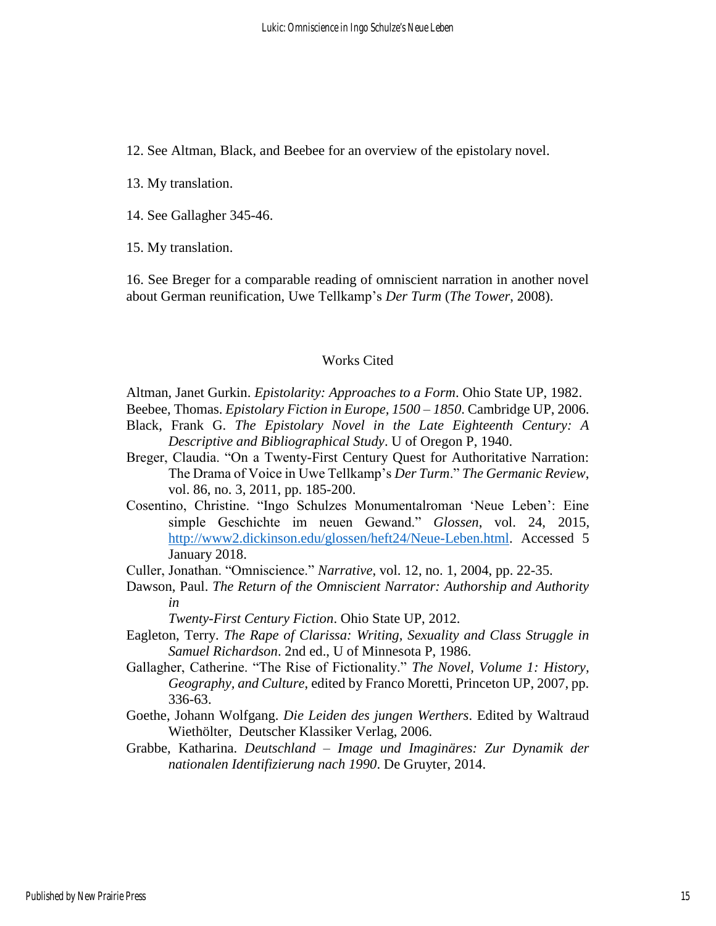12. See Altman, Black, and Beebee for an overview of the epistolary novel.

13. My translation.

14. See Gallagher 345-46.

15. My translation.

16. See Breger for a comparable reading of omniscient narration in another novel about German reunification, Uwe Tellkamp's *Der Turm* (*The Tower*, 2008).

# Works Cited

Altman, Janet Gurkin. *Epistolarity: Approaches to a Form*. Ohio State UP, 1982.

Beebee, Thomas. *Epistolary Fiction in Europe, 1500 – 1850*. Cambridge UP, 2006.

- Black, Frank G. *The Epistolary Novel in the Late Eighteenth Century: A Descriptive and Bibliographical Study*. U of Oregon P, 1940.
- Breger, Claudia. "On a Twenty-First Century Quest for Authoritative Narration: The Drama of Voice in Uwe Tellkamp's *Der Turm*." *The Germanic Review*, vol. 86, no. 3, 2011, pp. 185-200.
- Cosentino, Christine. "Ingo Schulzes Monumentalroman 'Neue Leben': Eine simple Geschichte im neuen Gewand." *Glossen*, vol. 24, 2015, [http://www2.dickinson.edu/glossen/heft24/Neue-Leben.html.](http://www2.dickinson.edu/glossen/heft24/Neue-Leben.html) Accessed 5 January 2018.

Culler, Jonathan. "Omniscience." *Narrative*, vol. 12, no. 1, 2004, pp. 22-35.

Dawson, Paul. *The Return of the Omniscient Narrator: Authorship and Authority in* 

*Twenty-First Century Fiction*. Ohio State UP, 2012.

- Eagleton, Terry. *The Rape of Clarissa: Writing, Sexuality and Class Struggle in Samuel Richardson*. 2nd ed., U of Minnesota P, 1986.
- Gallagher, Catherine. "The Rise of Fictionality." *The Novel, Volume 1: History, Geography, and Culture*, edited by Franco Moretti, Princeton UP, 2007, pp. 336-63.
- Goethe, Johann Wolfgang. *Die Leiden des jungen Werthers*. Edited by Waltraud Wiethölter, Deutscher Klassiker Verlag, 2006.
- Grabbe, Katharina. *Deutschland – Image und Imaginäres: Zur Dynamik der nationalen Identifizierung nach 1990*. De Gruyter, 2014.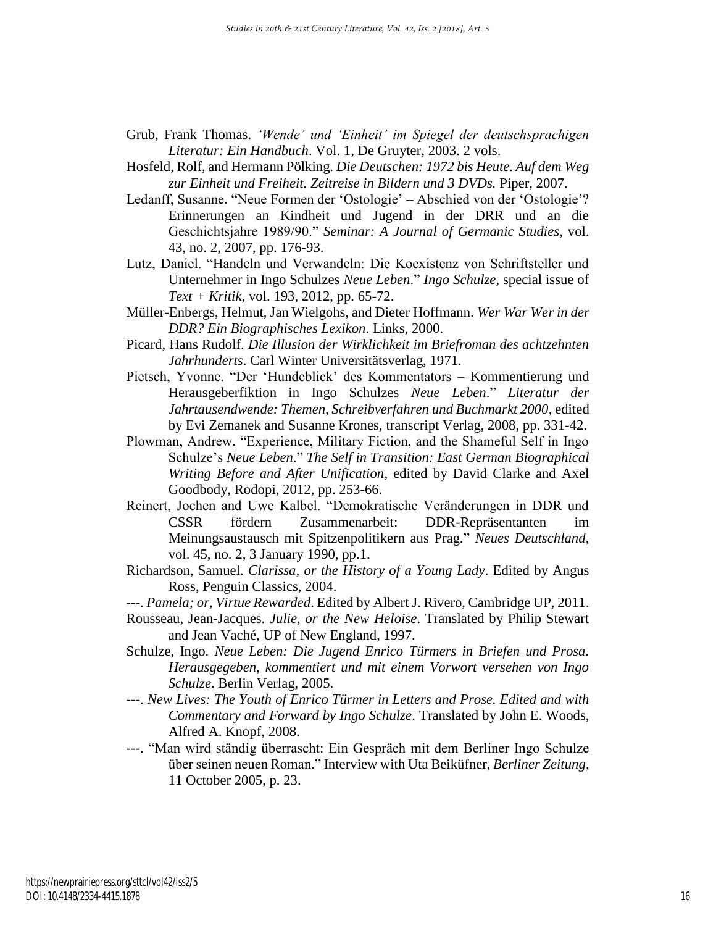- Grub, Frank Thomas. *'Wende' und 'Einheit' im Spiegel der deutschsprachigen Literatur: Ein Handbuch*. Vol. 1, De Gruyter, 2003. 2 vols.
- Hosfeld, Rolf, and Hermann Pölking. *Die Deutschen: 1972 bis Heute. Auf dem Weg zur Einheit und Freiheit. Zeitreise in Bildern und 3 DVDs.* Piper, 2007.
- Ledanff, Susanne. "Neue Formen der 'Ostologie' Abschied von der 'Ostologie'? Erinnerungen an Kindheit und Jugend in der DRR und an die Geschichtsjahre 1989/90." *Seminar: A Journal of Germanic Studies*, vol. 43, no. 2, 2007, pp. 176-93.
- Lutz, Daniel. "Handeln und Verwandeln: Die Koexistenz von Schriftsteller und Unternehmer in Ingo Schulzes *Neue Leben*." *Ingo Schulze*, special issue of *Text + Kritik*, vol. 193, 2012, pp. 65-72.
- Müller-Enbergs, Helmut, Jan Wielgohs, and Dieter Hoffmann. *Wer War Wer in der DDR? Ein Biographisches Lexikon*. Links, 2000.
- Picard, Hans Rudolf. *Die Illusion der Wirklichkeit im Briefroman des achtzehnten Jahrhunderts*. Carl Winter Universitätsverlag, 1971.
- Pietsch, Yvonne. "Der 'Hundeblick' des Kommentators Kommentierung und Herausgeberfiktion in Ingo Schulzes *Neue Leben*." *Literatur der Jahrtausendwende: Themen, Schreibverfahren und Buchmarkt 2000*, edited by Evi Zemanek and Susanne Krones, transcript Verlag, 2008, pp. 331-42.
- Plowman, Andrew. "Experience, Military Fiction, and the Shameful Self in Ingo Schulze's *Neue Leben*." *The Self in Transition: East German Biographical Writing Before and After Unification*, edited by David Clarke and Axel Goodbody, Rodopi, 2012, pp. 253-66.
- Reinert, Jochen and Uwe Kalbel. "Demokratische Veränderungen in DDR und CSSR fördern Zusammenarbeit: DDR-Repräsentanten im Meinungsaustausch mit Spitzenpolitikern aus Prag." *Neues Deutschland*, vol. 45, no. 2, 3 January 1990, pp.1.
- Richardson, Samuel. *Clarissa, or the History of a Young Lady*. Edited by Angus Ross, Penguin Classics, 2004.
- ---. *Pamela; or, Virtue Rewarded*. Edited by Albert J. Rivero, Cambridge UP, 2011.
- Rousseau, Jean-Jacques. *Julie, or the New Heloise*. Translated by Philip Stewart and Jean Vaché, UP of New England, 1997.
- Schulze, Ingo. *Neue Leben: Die Jugend Enrico Türmers in Briefen und Prosa. Herausgegeben, kommentiert und mit einem Vorwort versehen von Ingo Schulze*. Berlin Verlag, 2005.
- ---. *New Lives: The Youth of Enrico Türmer in Letters and Prose. Edited and with Commentary and Forward by Ingo Schulze*. Translated by John E. Woods, Alfred A. Knopf, 2008.
- ---. "Man wird ständig überrascht: Ein Gespräch mit dem Berliner Ingo Schulze über seinen neuen Roman." Interview with Uta Beiküfner, *Berliner Zeitung*, 11 October 2005, p. 23.